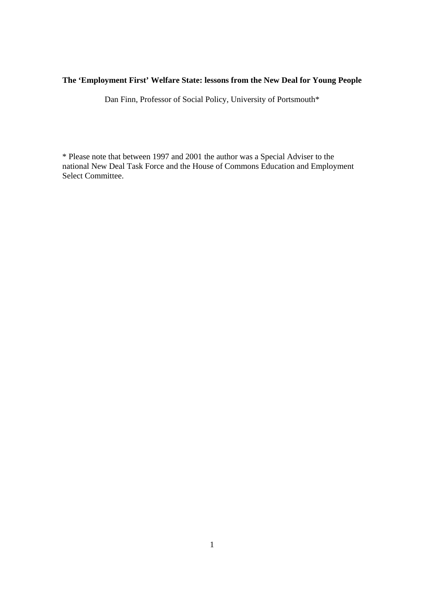# **The 'Employment First' Welfare State: lessons from the New Deal for Young People**

Dan Finn, Professor of Social Policy, University of Portsmouth\*

\* Please note that between 1997 and 2001 the author was a Special Adviser to the national New Deal Task Force and the House of Commons Education and Employment Select Committee.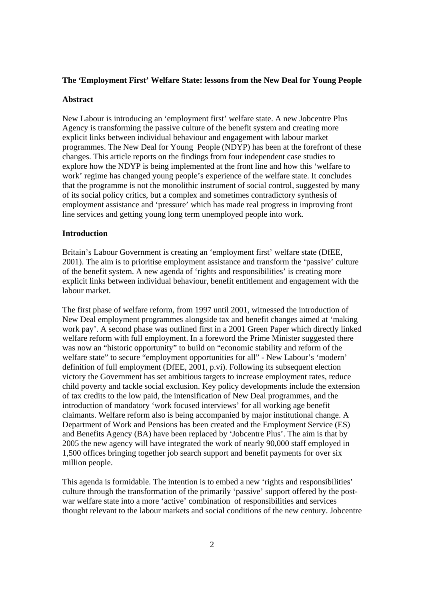## **The 'Employment First' Welfare State: lessons from the New Deal for Young People**

### **Abstract**

New Labour is introducing an 'employment first' welfare state. A new Jobcentre Plus Agency is transforming the passive culture of the benefit system and creating more explicit links between individual behaviour and engagement with labour market programmes. The New Deal for Young People (NDYP) has been at the forefront of these changes. This article reports on the findings from four independent case studies to explore how the NDYP is being implemented at the front line and how this 'welfare to work' regime has changed young people's experience of the welfare state. It concludes that the programme is not the monolithic instrument of social control, suggested by many of its social policy critics, but a complex and sometimes contradictory synthesis of employment assistance and 'pressure' which has made real progress in improving front line services and getting young long term unemployed people into work.

## **Introduction**

Britain's Labour Government is creating an 'employment first' welfare state (DfEE, 2001). The aim is to prioritise employment assistance and transform the 'passive' culture of the benefit system. A new agenda of 'rights and responsibilities' is creating more explicit links between individual behaviour, benefit entitlement and engagement with the labour market.

The first phase of welfare reform, from 1997 until 2001, witnessed the introduction of New Deal employment programmes alongside tax and benefit changes aimed at 'making work pay'. A second phase was outlined first in a 2001 Green Paper which directly linked welfare reform with full employment. In a foreword the Prime Minister suggested there was now an "historic opportunity" to build on "economic stability and reform of the welfare state" to secure "employment opportunities for all" - New Labour's 'modern' definition of full employment (DfEE, 2001, p.vi). Following its subsequent election victory the Government has set ambitious targets to increase employment rates, reduce child poverty and tackle social exclusion. Key policy developments include the extension of tax credits to the low paid, the intensification of New Deal programmes, and the introduction of mandatory 'work focused interviews' for all working age benefit claimants. Welfare reform also is being accompanied by major institutional change. A Department of Work and Pensions has been created and the Employment Service (ES) and Benefits Agency (BA) have been replaced by 'Jobcentre Plus'. The aim is that by 2005 the new agency will have integrated the work of nearly 90,000 staff employed in 1,500 offices bringing together job search support and benefit payments for over six million people.

This agenda is formidable. The intention is to embed a new 'rights and responsibilities' culture through the transformation of the primarily 'passive' support offered by the postwar welfare state into a more 'active' combination of responsibilities and services thought relevant to the labour markets and social conditions of the new century. Jobcentre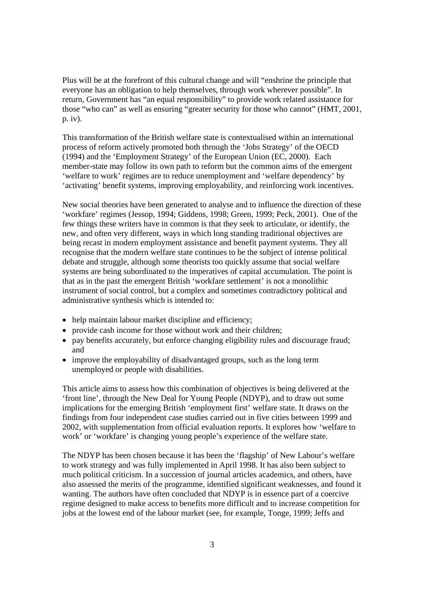Plus will be at the forefront of this cultural change and will "enshrine the principle that everyone has an obligation to help themselves, through work wherever possible". In return, Government has "an equal responsibility" to provide work related assistance for those "who can" as well as ensuring "greater security for those who cannot" (HMT, 2001, p. iv).

This transformation of the British welfare state is contextualised within an international process of reform actively promoted both through the 'Jobs Strategy' of the OECD (1994) and the 'Employment Strategy' of the European Union (EC, 2000). Each member-state may follow its own path to reform but the common aims of the emergent 'welfare to work' regimes are to reduce unemployment and 'welfare dependency' by 'activating' benefit systems, improving employability, and reinforcing work incentives.

New social theories have been generated to analyse and to influence the direction of these 'workfare' regimes (Jessop, 1994; Giddens, 1998; Green, 1999; Peck, 2001). One of the few things these writers have in common is that they seek to articulate, or identify, the new, and often very different, ways in which long standing traditional objectives are being recast in modern employment assistance and benefit payment systems. They all recognise that the modern welfare state continues to be the subject of intense political debate and struggle, although some theorists too quickly assume that social welfare systems are being subordinated to the imperatives of capital accumulation. The point is that as in the past the emergent British 'workfare settlement' is not a monolithic instrument of social control, but a complex and sometimes contradictory political and administrative synthesis which is intended to:

- help maintain labour market discipline and efficiency;
- provide cash income for those without work and their children;
- pay benefits accurately, but enforce changing eligibility rules and discourage fraud; and
- improve the employability of disadvantaged groups, such as the long term unemployed or people with disabilities.

This article aims to assess how this combination of objectives is being delivered at the 'front line', through the New Deal for Young People (NDYP), and to draw out some implications for the emerging British 'employment first' welfare state. It draws on the findings from four independent case studies carried out in five cities between 1999 and 2002, with supplementation from official evaluation reports. It explores how 'welfare to work' or 'workfare' is changing young people's experience of the welfare state.

The NDYP has been chosen because it has been the 'flagship' of New Labour's welfare to work strategy and was fully implemented in April 1998. It has also been subject to much political criticism. In a succession of journal articles academics, and others, have also assessed the merits of the programme, identified significant weaknesses, and found it wanting. The authors have often concluded that NDYP is in essence part of a coercive regime designed to make access to benefits more difficult and to increase competition for jobs at the lowest end of the labour market (see, for example, Tonge, 1999; Jeffs and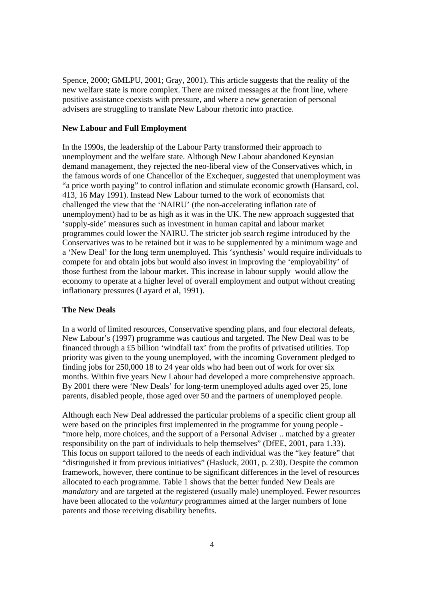Spence, 2000; GMLPU, 2001; Gray, 2001). This article suggests that the reality of the new welfare state is more complex. There are mixed messages at the front line, where positive assistance coexists with pressure, and where a new generation of personal advisers are struggling to translate New Labour rhetoric into practice.

## **New Labour and Full Employment**

In the 1990s, the leadership of the Labour Party transformed their approach to unemployment and the welfare state. Although New Labour abandoned Keynsian demand management, they rejected the neo-liberal view of the Conservatives which, in the famous words of one Chancellor of the Exchequer, suggested that unemployment was "a price worth paying" to control inflation and stimulate economic growth (Hansard, col. 413, 16 May 1991). Instead New Labour turned to the work of economists that challenged the view that the 'NAIRU' (the non-accelerating inflation rate of unemployment) had to be as high as it was in the UK. The new approach suggested that 'supply-side' measures such as investment in human capital and labour market programmes could lower the NAIRU. The stricter job search regime introduced by the Conservatives was to be retained but it was to be supplemented by a minimum wage and a 'New Deal' for the long term unemployed. This 'synthesis' would require individuals to compete for and obtain jobs but would also invest in improving the 'employability' of those furthest from the labour market. This increase in labour supply would allow the economy to operate at a higher level of overall employment and output without creating inflationary pressures (Layard et al, 1991).

#### **The New Deals**

In a world of limited resources, Conservative spending plans, and four electoral defeats, New Labour's (1997) programme was cautious and targeted. The New Deal was to be financed through a £5 billion 'windfall tax' from the profits of privatised utilities. Top priority was given to the young unemployed, with the incoming Government pledged to finding jobs for 250,000 18 to 24 year olds who had been out of work for over six months. Within five years New Labour had developed a more comprehensive approach. By 2001 there were 'New Deals' for long-term unemployed adults aged over 25, lone parents, disabled people, those aged over 50 and the partners of unemployed people.

Although each New Deal addressed the particular problems of a specific client group all were based on the principles first implemented in the programme for young people - "more help, more choices, and the support of a Personal Adviser .. matched by a greater responsibility on the part of individuals to help themselves" (DfEE, 2001, para 1.33). This focus on support tailored to the needs of each individual was the "key feature" that "distinguished it from previous initiatives" (Hasluck, 2001, p. 230). Despite the common framework, however, there continue to be significant differences in the level of resources allocated to each programme. Table 1 shows that the better funded New Deals are *mandatory* and are targeted at the registered (usually male) unemployed. Fewer resources have been allocated to the *voluntary* programmes aimed at the larger numbers of lone parents and those receiving disability benefits.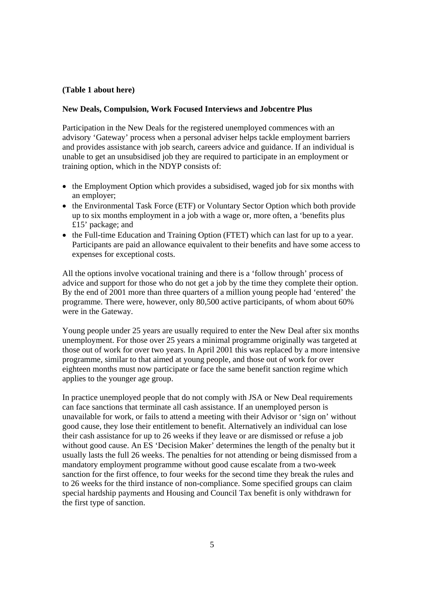## **(Table 1 about here)**

# **New Deals, Compulsion, Work Focused Interviews and Jobcentre Plus**

Participation in the New Deals for the registered unemployed commences with an advisory 'Gateway' process when a personal adviser helps tackle employment barriers and provides assistance with job search, careers advice and guidance. If an individual is unable to get an unsubsidised job they are required to participate in an employment or training option, which in the NDYP consists of:

- the Employment Option which provides a subsidised, waged job for six months with an employer;
- the Environmental Task Force (ETF) or Voluntary Sector Option which both provide up to six months employment in a job with a wage or, more often, a 'benefits plus £15' package; and
- the Full-time Education and Training Option (FTET) which can last for up to a year. Participants are paid an allowance equivalent to their benefits and have some access to expenses for exceptional costs.

All the options involve vocational training and there is a 'follow through' process of advice and support for those who do not get a job by the time they complete their option. By the end of 2001 more than three quarters of a million young people had 'entered' the programme. There were, however, only 80,500 active participants, of whom about 60% were in the Gateway.

Young people under 25 years are usually required to enter the New Deal after six months unemployment. For those over 25 years a minimal programme originally was targeted at those out of work for over two years. In April 2001 this was replaced by a more intensive programme, similar to that aimed at young people, and those out of work for over eighteen months must now participate or face the same benefit sanction regime which applies to the younger age group.

In practice unemployed people that do not comply with JSA or New Deal requirements can face sanctions that terminate all cash assistance. If an unemployed person is unavailable for work, or fails to attend a meeting with their Advisor or 'sign on' without good cause, they lose their entitlement to benefit. Alternatively an individual can lose their cash assistance for up to 26 weeks if they leave or are dismissed or refuse a job without good cause. An ES 'Decision Maker' determines the length of the penalty but it usually lasts the full 26 weeks. The penalties for not attending or being dismissed from a mandatory employment programme without good cause escalate from a two-week sanction for the first offence, to four weeks for the second time they break the rules and to 26 weeks for the third instance of non-compliance. Some specified groups can claim special hardship payments and Housing and Council Tax benefit is only withdrawn for the first type of sanction.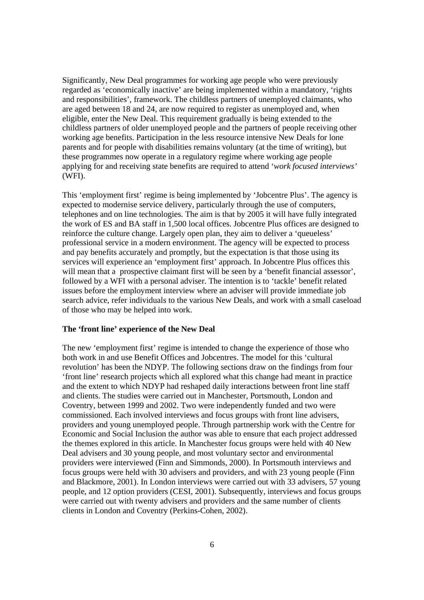Significantly, New Deal programmes for working age people who were previously regarded as 'economically inactive' are being implemented within a mandatory, 'rights and responsibilities', framework. The childless partners of unemployed claimants, who are aged between 18 and 24, are now required to register as unemployed and, when eligible, enter the New Deal. This requirement gradually is being extended to the childless partners of older unemployed people and the partners of people receiving other working age benefits. Participation in the less resource intensive New Deals for lone parents and for people with disabilities remains voluntary (at the time of writing), but these programmes now operate in a regulatory regime where working age people applying for and receiving state benefits are required to attend '*work focused interviews'* (WFI).

This 'employment first' regime is being implemented by 'Jobcentre Plus'. The agency is expected to modernise service delivery, particularly through the use of computers, telephones and on line technologies. The aim is that by 2005 it will have fully integrated the work of ES and BA staff in 1,500 local offices. Jobcentre Plus offices are designed to reinforce the culture change. Largely open plan, they aim to deliver a 'queueless' professional service in a modern environment. The agency will be expected to process and pay benefits accurately and promptly, but the expectation is that those using its services will experience an 'employment first' approach. In Jobcentre Plus offices this will mean that a prospective claimant first will be seen by a 'benefit financial assessor'. followed by a WFI with a personal adviser. The intention is to 'tackle' benefit related issues before the employment interview where an adviser will provide immediate job search advice, refer individuals to the various New Deals, and work with a small caseload of those who may be helped into work.

## **The 'front line' experience of the New Deal**

The new 'employment first' regime is intended to change the experience of those who both work in and use Benefit Offices and Jobcentres. The model for this 'cultural revolution' has been the NDYP. The following sections draw on the findings from four 'front line' research projects which all explored what this change had meant in practice and the extent to which NDYP had reshaped daily interactions between front line staff and clients. The studies were carried out in Manchester, Portsmouth, London and Coventry, between 1999 and 2002. Two were independently funded and two were commissioned. Each involved interviews and focus groups with front line advisers, providers and young unemployed people. Through partnership work with the Centre for Economic and Social Inclusion the author was able to ensure that each project addressed the themes explored in this article. In Manchester focus groups were held with 40 New Deal advisers and 30 young people, and most voluntary sector and environmental providers were interviewed (Finn and Simmonds, 2000). In Portsmouth interviews and focus groups were held with 30 advisers and providers, and with 23 young people (Finn and Blackmore, 2001). In London interviews were carried out with 33 advisers, 57 young people, and 12 option providers (CESI, 2001). Subsequently, interviews and focus groups were carried out with twenty advisers and providers and the same number of clients clients in London and Coventry (Perkins-Cohen, 2002).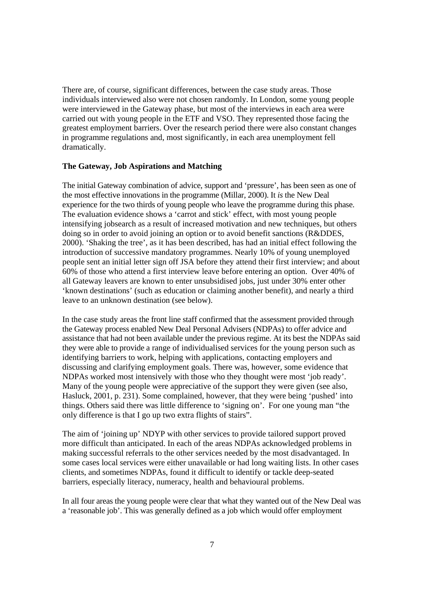There are, of course, significant differences, between the case study areas. Those individuals interviewed also were not chosen randomly. In London, some young people were interviewed in the Gateway phase, but most of the interviews in each area were carried out with young people in the ETF and VSO. They represented those facing the greatest employment barriers. Over the research period there were also constant changes in programme regulations and, most significantly, in each area unemployment fell dramatically.

### **The Gateway, Job Aspirations and Matching**

The initial Gateway combination of advice, support and 'pressure', has been seen as one of the most effective innovations in the programme (Millar, 2000). It *is* the New Deal experience for the two thirds of young people who leave the programme during this phase. The evaluation evidence shows a 'carrot and stick' effect, with most young people intensifying jobsearch as a result of increased motivation and new techniques, but others doing so in order to avoid joining an option or to avoid benefit sanctions (R&DDES, 2000). 'Shaking the tree', as it has been described, has had an initial effect following the introduction of successive mandatory programmes. Nearly 10% of young unemployed people sent an initial letter sign off JSA before they attend their first interview; and about 60% of those who attend a first interview leave before entering an option. Over 40% of all Gateway leavers are known to enter unsubsidised jobs, just under 30% enter other 'known destinations' (such as education or claiming another benefit), and nearly a third leave to an unknown destination (see below).

In the case study areas the front line staff confirmed that the assessment provided through the Gateway process enabled New Deal Personal Advisers (NDPAs) to offer advice and assistance that had not been available under the previous regime. At its best the NDPAs said they were able to provide a range of individualised services for the young person such as identifying barriers to work, helping with applications, contacting employers and discussing and clarifying employment goals. There was, however, some evidence that NDPAs worked most intensively with those who they thought were most 'job ready'. Many of the young people were appreciative of the support they were given (see also, Hasluck, 2001, p. 231). Some complained, however, that they were being 'pushed' into things. Others said there was little difference to 'signing on'. For one young man "the only difference is that I go up two extra flights of stairs".

The aim of 'joining up' NDYP with other services to provide tailored support proved more difficult than anticipated. In each of the areas NDPAs acknowledged problems in making successful referrals to the other services needed by the most disadvantaged. In some cases local services were either unavailable or had long waiting lists. In other cases clients, and sometimes NDPAs, found it difficult to identify or tackle deep-seated barriers, especially literacy, numeracy, health and behavioural problems.

In all four areas the young people were clear that what they wanted out of the New Deal was a 'reasonable job'. This was generally defined as a job which would offer employment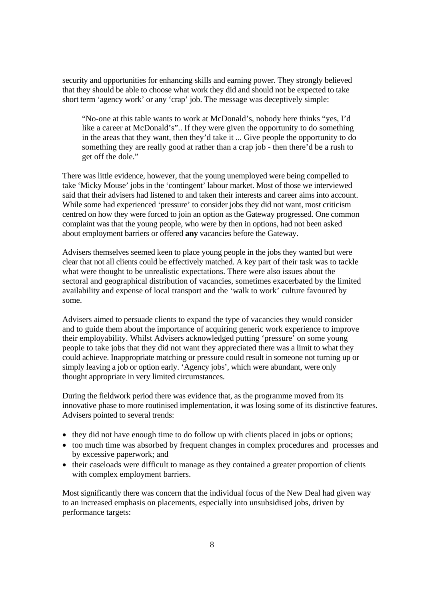security and opportunities for enhancing skills and earning power. They strongly believed that they should be able to choose what work they did and should not be expected to take short term 'agency work' or any 'crap' job. The message was deceptively simple:

"No-one at this table wants to work at McDonald's, nobody here thinks "yes, I'd like a career at McDonald's".. If they were given the opportunity to do something in the areas that they want, then they'd take it ... Give people the opportunity to do something they are really good at rather than a crap job - then there'd be a rush to get off the dole."

There was little evidence, however, that the young unemployed were being compelled to take 'Micky Mouse' jobs in the 'contingent' labour market. Most of those we interviewed said that their advisers had listened to and taken their interests and career aims into account. While some had experienced 'pressure' to consider jobs they did not want, most criticism centred on how they were forced to join an option as the Gateway progressed. One common complaint was that the young people, who were by then in options, had not been asked about employment barriers or offered **any** vacancies before the Gateway.

Advisers themselves seemed keen to place young people in the jobs they wanted but were clear that not all clients could be effectively matched. A key part of their task was to tackle what were thought to be unrealistic expectations. There were also issues about the sectoral and geographical distribution of vacancies, sometimes exacerbated by the limited availability and expense of local transport and the 'walk to work' culture favoured by some.

Advisers aimed to persuade clients to expand the type of vacancies they would consider and to guide them about the importance of acquiring generic work experience to improve their employability. Whilst Advisers acknowledged putting 'pressure' on some young people to take jobs that they did not want they appreciated there was a limit to what they could achieve. Inappropriate matching or pressure could result in someone not turning up or simply leaving a job or option early. 'Agency jobs', which were abundant, were only thought appropriate in very limited circumstances.

During the fieldwork period there was evidence that, as the programme moved from its innovative phase to more routinised implementation, it was losing some of its distinctive features. Advisers pointed to several trends:

- they did not have enough time to do follow up with clients placed in jobs or options;
- too much time was absorbed by frequent changes in complex procedures and processes and by excessive paperwork; and
- their caseloads were difficult to manage as they contained a greater proportion of clients with complex employment barriers.

Most significantly there was concern that the individual focus of the New Deal had given way to an increased emphasis on placements, especially into unsubsidised jobs, driven by performance targets: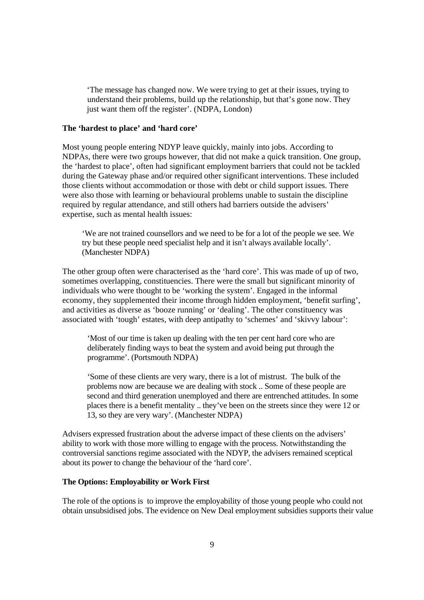'The message has changed now. We were trying to get at their issues, trying to understand their problems, build up the relationship, but that's gone now. They just want them off the register'. (NDPA, London)

## **The 'hardest to place' and 'hard core'**

Most young people entering NDYP leave quickly, mainly into jobs. According to NDPAs, there were two groups however, that did not make a quick transition. One group, the 'hardest to place', often had significant employment barriers that could not be tackled during the Gateway phase and/or required other significant interventions. These included those clients without accommodation or those with debt or child support issues. There were also those with learning or behavioural problems unable to sustain the discipline required by regular attendance, and still others had barriers outside the advisers' expertise, such as mental health issues:

'We are not trained counsellors and we need to be for a lot of the people we see. We try but these people need specialist help and it isn't always available locally'. (Manchester NDPA)

The other group often were characterised as the 'hard core'. This was made of up of two, sometimes overlapping, constituencies. There were the small but significant minority of individuals who were thought to be 'working the system'. Engaged in the informal economy, they supplemented their income through hidden employment, 'benefit surfing', and activities as diverse as 'booze running' or 'dealing'. The other constituency was associated with 'tough' estates, with deep antipathy to 'schemes' and 'skivvy labour':

 'Most of our time is taken up dealing with the ten per cent hard core who are deliberately finding ways to beat the system and avoid being put through the programme'. (Portsmouth NDPA)

 'Some of these clients are very wary, there is a lot of mistrust. The bulk of the problems now are because we are dealing with stock .. Some of these people are second and third generation unemployed and there are entrenched attitudes. In some places there is a benefit mentality .. they've been on the streets since they were 12 or 13, so they are very wary'. (Manchester NDPA)

Advisers expressed frustration about the adverse impact of these clients on the advisers' ability to work with those more willing to engage with the process. Notwithstanding the controversial sanctions regime associated with the NDYP, the advisers remained sceptical about its power to change the behaviour of the 'hard core'.

### **The Options: Employability or Work First**

The role of the options is to improve the employability of those young people who could not obtain unsubsidised jobs. The evidence on New Deal employment subsidies supports their value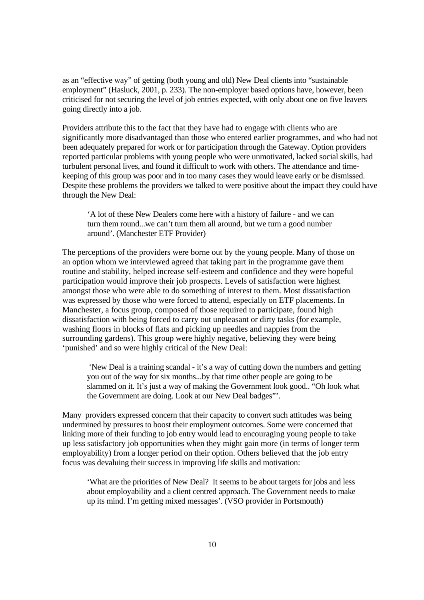as an "effective way" of getting (both young and old) New Deal clients into "sustainable employment" (Hasluck, 2001, p. 233). The non-employer based options have, however, been criticised for not securing the level of job entries expected, with only about one on five leavers going directly into a job.

Providers attribute this to the fact that they have had to engage with clients who are significantly more disadvantaged than those who entered earlier programmes, and who had not been adequately prepared for work or for participation through the Gateway. Option providers reported particular problems with young people who were unmotivated, lacked social skills, had turbulent personal lives, and found it difficult to work with others. The attendance and timekeeping of this group was poor and in too many cases they would leave early or be dismissed. Despite these problems the providers we talked to were positive about the impact they could have through the New Deal:

 'A lot of these New Dealers come here with a history of failure - and we can turn them round...we can't turn them all around, but we turn a good number around'. (Manchester ETF Provider)

The perceptions of the providers were borne out by the young people. Many of those on an option whom we interviewed agreed that taking part in the programme gave them routine and stability, helped increase self-esteem and confidence and they were hopeful participation would improve their job prospects. Levels of satisfaction were highest amongst those who were able to do something of interest to them. Most dissatisfaction was expressed by those who were forced to attend, especially on ETF placements. In Manchester, a focus group, composed of those required to participate, found high dissatisfaction with being forced to carry out unpleasant or dirty tasks (for example, washing floors in blocks of flats and picking up needles and nappies from the surrounding gardens). This group were highly negative, believing they were being 'punished' and so were highly critical of the New Deal:

 'New Deal is a training scandal - it's a way of cutting down the numbers and getting you out of the way for six months...by that time other people are going to be slammed on it. It's just a way of making the Government look good.. "Oh look what the Government are doing. Look at our New Deal badges"'.

Many providers expressed concern that their capacity to convert such attitudes was being undermined by pressures to boost their employment outcomes. Some were concerned that linking more of their funding to job entry would lead to encouraging young people to take up less satisfactory job opportunities when they might gain more (in terms of longer term employability) from a longer period on their option. Others believed that the job entry focus was devaluing their success in improving life skills and motivation:

 'What are the priorities of New Deal? It seems to be about targets for jobs and less about employability and a client centred approach. The Government needs to make up its mind. I'm getting mixed messages'. (VSO provider in Portsmouth)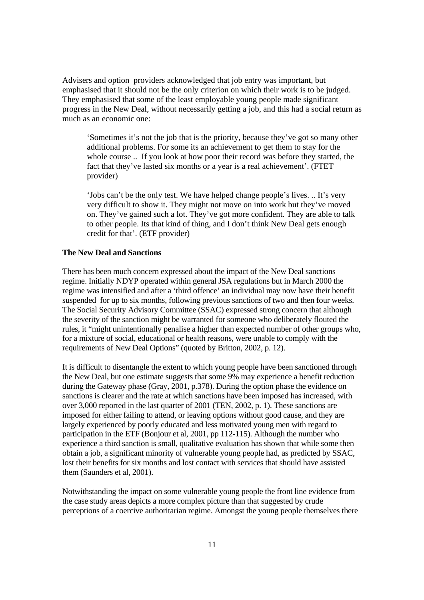Advisers and option providers acknowledged that job entry was important, but emphasised that it should not be the only criterion on which their work is to be judged. They emphasised that some of the least employable young people made significant progress in the New Deal, without necessarily getting a job, and this had a social return as much as an economic one:

'Sometimes it's not the job that is the priority, because they've got so many other additional problems. For some its an achievement to get them to stay for the whole course .. If you look at how poor their record was before they started, the fact that they've lasted six months or a year is a real achievement'. (FTET provider)

'Jobs can't be the only test. We have helped change people's lives. .. It's very very difficult to show it. They might not move on into work but they've moved on. They've gained such a lot. They've got more confident. They are able to talk to other people. Its that kind of thing, and I don't think New Deal gets enough credit for that'. (ETF provider)

## **The New Deal and Sanctions**

There has been much concern expressed about the impact of the New Deal sanctions regime. Initially NDYP operated within general JSA regulations but in March 2000 the regime was intensified and after a 'third offence' an individual may now have their benefit suspended for up to six months, following previous sanctions of two and then four weeks. The Social Security Advisory Committee (SSAC) expressed strong concern that although the severity of the sanction might be warranted for someone who deliberately flouted the rules, it "might unintentionally penalise a higher than expected number of other groups who, for a mixture of social, educational or health reasons, were unable to comply with the requirements of New Deal Options" (quoted by Britton, 2002, p. 12).

It is difficult to disentangle the extent to which young people have been sanctioned through the New Deal, but one estimate suggests that some 9% may experience a benefit reduction during the Gateway phase (Gray, 2001, p.378). During the option phase the evidence on sanctions is clearer and the rate at which sanctions have been imposed has increased, with over 3,000 reported in the last quarter of 2001 (TEN, 2002, p. 1). These sanctions are imposed for either failing to attend, or leaving options without good cause, and they are largely experienced by poorly educated and less motivated young men with regard to participation in the ETF (Bonjour et al, 2001, pp 112-115). Although the number who experience a third sanction is small, qualitative evaluation has shown that while some then obtain a job, a significant minority of vulnerable young people had, as predicted by SSAC, lost their benefits for six months and lost contact with services that should have assisted them (Saunders et al, 2001).

Notwithstanding the impact on some vulnerable young people the front line evidence from the case study areas depicts a more complex picture than that suggested by crude perceptions of a coercive authoritarian regime. Amongst the young people themselves there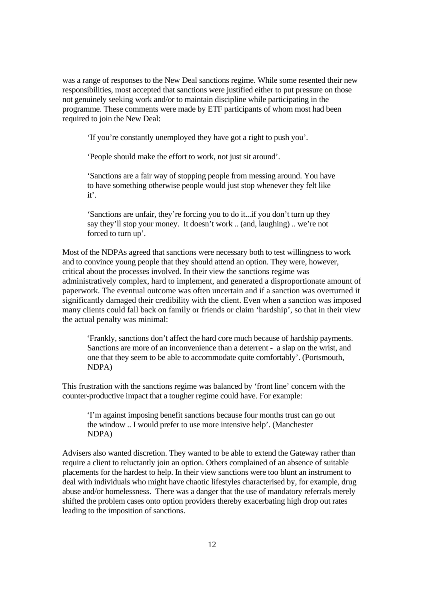was a range of responses to the New Deal sanctions regime. While some resented their new responsibilities, most accepted that sanctions were justified either to put pressure on those not genuinely seeking work and/or to maintain discipline while participating in the programme. These comments were made by ETF participants of whom most had been required to join the New Deal:

'If you're constantly unemployed they have got a right to push you'.

'People should make the effort to work, not just sit around'.

 'Sanctions are a fair way of stopping people from messing around. You have to have something otherwise people would just stop whenever they felt like it'.

 'Sanctions are unfair, they're forcing you to do it...if you don't turn up they say they'll stop your money. It doesn't work .. (and, laughing) .. we're not forced to turn up'.

Most of the NDPAs agreed that sanctions were necessary both to test willingness to work and to convince young people that they should attend an option. They were, however, critical about the processes involved. In their view the sanctions regime was administratively complex, hard to implement, and generated a disproportionate amount of paperwork. The eventual outcome was often uncertain and if a sanction was overturned it significantly damaged their credibility with the client. Even when a sanction was imposed many clients could fall back on family or friends or claim 'hardship', so that in their view the actual penalty was minimal:

'Frankly, sanctions don't affect the hard core much because of hardship payments. Sanctions are more of an inconvenience than a deterrent - a slap on the wrist, and one that they seem to be able to accommodate quite comfortably'. (Portsmouth, NDPA)

This frustration with the sanctions regime was balanced by 'front line' concern with the counter-productive impact that a tougher regime could have. For example:

'I'm against imposing benefit sanctions because four months trust can go out the window .. I would prefer to use more intensive help'. (Manchester NDPA)

Advisers also wanted discretion. They wanted to be able to extend the Gateway rather than require a client to reluctantly join an option. Others complained of an absence of suitable placements for the hardest to help. In their view sanctions were too blunt an instrument to deal with individuals who might have chaotic lifestyles characterised by, for example, drug abuse and/or homelessness. There was a danger that the use of mandatory referrals merely shifted the problem cases onto option providers thereby exacerbating high drop out rates leading to the imposition of sanctions.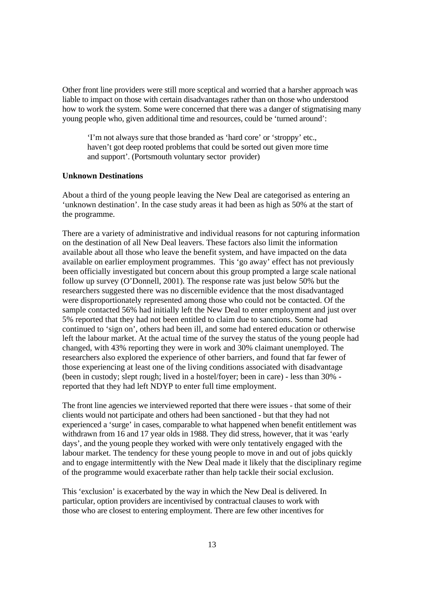Other front line providers were still more sceptical and worried that a harsher approach was liable to impact on those with certain disadvantages rather than on those who understood how to work the system. Some were concerned that there was a danger of stigmatising many young people who, given additional time and resources, could be 'turned around':

 'I'm not always sure that those branded as 'hard core' or 'stroppy' etc., haven't got deep rooted problems that could be sorted out given more time and support'. (Portsmouth voluntary sector provider)

### **Unknown Destinations**

About a third of the young people leaving the New Deal are categorised as entering an 'unknown destination'. In the case study areas it had been as high as 50% at the start of the programme.

There are a variety of administrative and individual reasons for not capturing information on the destination of all New Deal leavers. These factors also limit the information available about all those who leave the benefit system, and have impacted on the data available on earlier employment programmes. This 'go away' effect has not previously been officially investigated but concern about this group prompted a large scale national follow up survey (O'Donnell, 2001). The response rate was just below 50% but the researchers suggested there was no discernible evidence that the most disadvantaged were disproportionately represented among those who could not be contacted. Of the sample contacted 56% had initially left the New Deal to enter employment and just over 5% reported that they had not been entitled to claim due to sanctions. Some had continued to 'sign on', others had been ill, and some had entered education or otherwise left the labour market. At the actual time of the survey the status of the young people had changed, with 43% reporting they were in work and 30% claimant unemployed. The researchers also explored the experience of other barriers, and found that far fewer of those experiencing at least one of the living conditions associated with disadvantage (been in custody; slept rough; lived in a hostel/foyer; been in care) - less than 30% reported that they had left NDYP to enter full time employment.

The front line agencies we interviewed reported that there were issues - that some of their clients would not participate and others had been sanctioned - but that they had not experienced a 'surge' in cases, comparable to what happened when benefit entitlement was withdrawn from 16 and 17 year olds in 1988. They did stress, however, that it was 'early days', and the young people they worked with were only tentatively engaged with the labour market. The tendency for these young people to move in and out of jobs quickly and to engage intermittently with the New Deal made it likely that the disciplinary regime of the programme would exacerbate rather than help tackle their social exclusion.

This 'exclusion' is exacerbated by the way in which the New Deal is delivered. In particular, option providers are incentivised by contractual clauses to work with those who are closest to entering employment. There are few other incentives for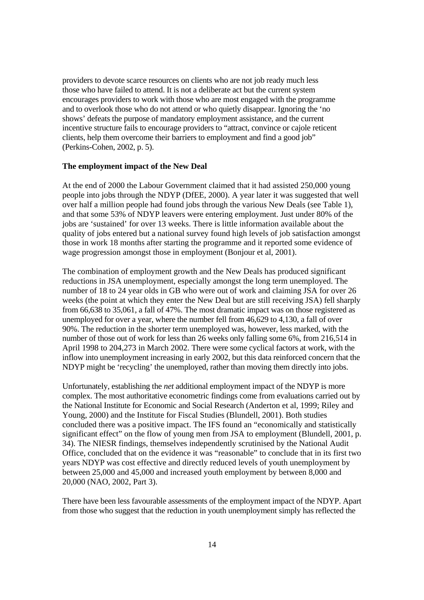providers to devote scarce resources on clients who are not job ready much less those who have failed to attend. It is not a deliberate act but the current system encourages providers to work with those who are most engaged with the programme and to overlook those who do not attend or who quietly disappear. Ignoring the 'no shows' defeats the purpose of mandatory employment assistance, and the current incentive structure fails to encourage providers to "attract, convince or cajole reticent clients, help them overcome their barriers to employment and find a good job" (Perkins-Cohen, 2002, p. 5).

#### **The employment impact of the New Deal**

At the end of 2000 the Labour Government claimed that it had assisted 250,000 young people into jobs through the NDYP (DfEE, 2000). A year later it was suggested that well over half a million people had found jobs through the various New Deals (see Table 1), and that some 53% of NDYP leavers were entering employment. Just under 80% of the jobs are 'sustained' for over 13 weeks. There is little information available about the quality of jobs entered but a national survey found high levels of job satisfaction amongst those in work 18 months after starting the programme and it reported some evidence of wage progression amongst those in employment (Bonjour et al, 2001).

The combination of employment growth and the New Deals has produced significant reductions in JSA unemployment, especially amongst the long term unemployed. The number of 18 to 24 year olds in GB who were out of work and claiming JSA for over 26 weeks (the point at which they enter the New Deal but are still receiving JSA) fell sharply from 66,638 to 35,061, a fall of 47%. The most dramatic impact was on those registered as unemployed for over a year, where the number fell from 46,629 to 4,130, a fall of over 90%. The reduction in the shorter term unemployed was, however, less marked, with the number of those out of work for less than 26 weeks only falling some 6%, from 216,514 in April 1998 to 204,273 in March 2002. There were some cyclical factors at work, with the inflow into unemployment increasing in early 2002, but this data reinforced concern that the NDYP might be 'recycling' the unemployed, rather than moving them directly into jobs.

Unfortunately, establishing the *net* additional employment impact of the NDYP is more complex. The most authoritative econometric findings come from evaluations carried out by the National Institute for Economic and Social Research (Anderton et al, 1999; Riley and Young, 2000) and the Institute for Fiscal Studies (Blundell, 2001). Both studies concluded there was a positive impact. The IFS found an "economically and statistically significant effect" on the flow of young men from JSA to employment (Blundell, 2001, p. 34). The NIESR findings, themselves independently scrutinised by the National Audit Office, concluded that on the evidence it was "reasonable" to conclude that in its first two years NDYP was cost effective and directly reduced levels of youth unemployment by between 25,000 and 45,000 and increased youth employment by between 8,000 and 20,000 (NAO, 2002, Part 3).

There have been less favourable assessments of the employment impact of the NDYP. Apart from those who suggest that the reduction in youth unemployment simply has reflected the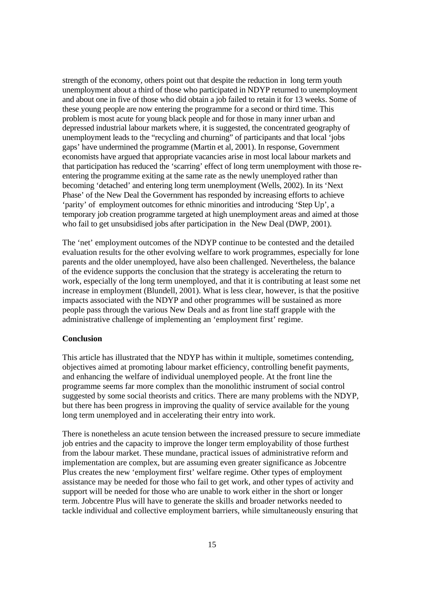strength of the economy, others point out that despite the reduction in long term youth unemployment about a third of those who participated in NDYP returned to unemployment and about one in five of those who did obtain a job failed to retain it for 13 weeks. Some of these young people are now entering the programme for a second or third time. This problem is most acute for young black people and for those in many inner urban and depressed industrial labour markets where, it is suggested, the concentrated geography of unemployment leads to the "recycling and churning" of participants and that local 'jobs gaps' have undermined the programme (Martin et al, 2001). In response, Government economists have argued that appropriate vacancies arise in most local labour markets and that participation has reduced the 'scarring' effect of long term unemployment with those reentering the programme exiting at the same rate as the newly unemployed rather than becoming 'detached' and entering long term unemployment (Wells, 2002). In its 'Next Phase' of the New Deal the Government has responded by increasing efforts to achieve 'parity' of employment outcomes for ethnic minorities and introducing 'Step Up', a temporary job creation programme targeted at high unemployment areas and aimed at those who fail to get unsubsidised jobs after participation in the New Deal (DWP, 2001).

The 'net' employment outcomes of the NDYP continue to be contested and the detailed evaluation results for the other evolving welfare to work programmes, especially for lone parents and the older unemployed, have also been challenged. Nevertheless, the balance of the evidence supports the conclusion that the strategy is accelerating the return to work, especially of the long term unemployed, and that it is contributing at least some net increase in employment (Blundell, 2001). What is less clear, however, is that the positive impacts associated with the NDYP and other programmes will be sustained as more people pass through the various New Deals and as front line staff grapple with the administrative challenge of implementing an 'employment first' regime.

## **Conclusion**

This article has illustrated that the NDYP has within it multiple, sometimes contending, objectives aimed at promoting labour market efficiency, controlling benefit payments, and enhancing the welfare of individual unemployed people. At the front line the programme seems far more complex than the monolithic instrument of social control suggested by some social theorists and critics. There are many problems with the NDYP, but there has been progress in improving the quality of service available for the young long term unemployed and in accelerating their entry into work.

There is nonetheless an acute tension between the increased pressure to secure immediate job entries and the capacity to improve the longer term employability of those furthest from the labour market. These mundane, practical issues of administrative reform and implementation are complex, but are assuming even greater significance as Jobcentre Plus creates the new 'employment first' welfare regime. Other types of employment assistance may be needed for those who fail to get work, and other types of activity and support will be needed for those who are unable to work either in the short or longer term. Jobcentre Plus will have to generate the skills and broader networks needed to tackle individual and collective employment barriers, while simultaneously ensuring that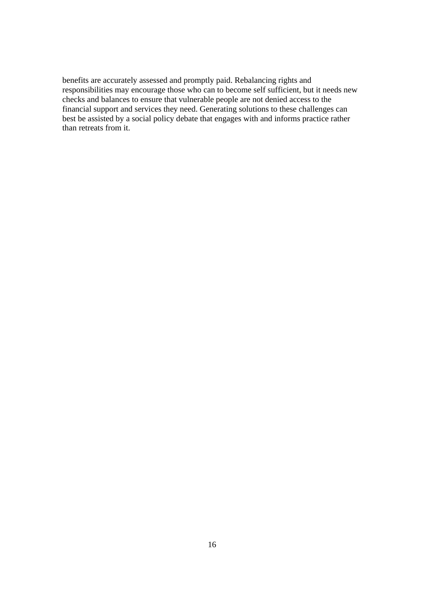benefits are accurately assessed and promptly paid. Rebalancing rights and responsibilities may encourage those who can to become self sufficient, but it needs new checks and balances to ensure that vulnerable people are not denied access to the financial support and services they need. Generating solutions to these challenges can best be assisted by a social policy debate that engages with and informs practice rather than retreats from it.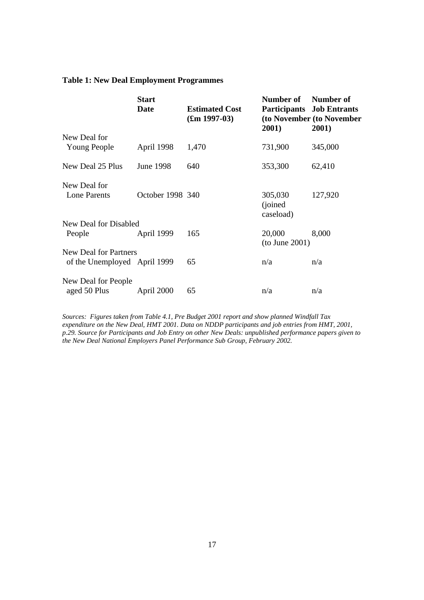# **Table 1: New Deal Employment Programmes**

|                              | <b>Start</b><br>Date | <b>Estimated Cost</b><br>$(\text{Im } 1997 - 03)$ | Number of<br>2001)               | Number of<br><b>Participants</b> Job Entrants<br>(to November (to November<br>2001) |
|------------------------------|----------------------|---------------------------------------------------|----------------------------------|-------------------------------------------------------------------------------------|
| New Deal for                 |                      |                                                   |                                  |                                                                                     |
| Young People                 | April 1998           | 1,470                                             | 731,900                          | 345,000                                                                             |
| New Deal 25 Plus             | June 1998            | 640                                               | 353,300                          | 62,410                                                                              |
| New Deal for                 |                      |                                                   |                                  |                                                                                     |
| <b>Lone Parents</b>          | October 1998 340     |                                                   | 305,030<br>(joined)<br>caseload) | 127,920                                                                             |
| New Deal for Disabled        |                      |                                                   |                                  |                                                                                     |
| People                       | April 1999           | 165                                               | 20,000<br>(to June 2001)         | 8,000                                                                               |
| <b>New Deal for Partners</b> |                      |                                                   |                                  |                                                                                     |
| of the Unemployed April 1999 |                      | 65                                                | n/a                              | n/a                                                                                 |
| New Deal for People          |                      |                                                   |                                  |                                                                                     |
| aged 50 Plus                 | April 2000           | 65                                                | n/a                              | n/a                                                                                 |

*Sources: Figures taken from Table 4.1, Pre Budget 2001 report and show planned Windfall Tax expenditure on the New Deal, HMT 2001. Data on NDDP participants and job entries from HMT, 2001, p.29. Source for Participants and Job Entry on other New Deals: unpublished performance papers given to the New Deal National Employers Panel Performance Sub Group, February 2002.*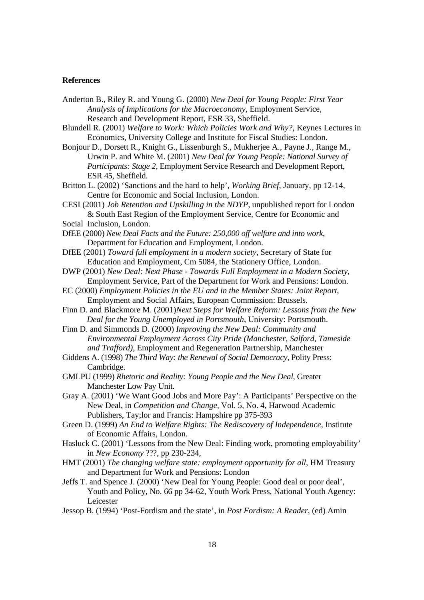#### **References**

- Anderton B., Riley R. and Young G. (2000) *New Deal for Young People: First Year Analysis of Implications for the Macroeconomy*, Employment Service, Research and Development Report, ESR 33, Sheffield.
- Blundell R. (2001) *Welfare to Work: Which Policies Work and Why?,* Keynes Lectures in Economics, University College and Institute for Fiscal Studies: London.
- Bonjour D., Dorsett R., Knight G., Lissenburgh S., Mukherjee A., Payne J., Range M., Urwin P. and White M. (2001) *New Deal for Young People: National Survey of Participants: Stage 2,* Employment Service Research and Development Report, ESR 45, Sheffield.
- Britton L. (2002) 'Sanctions and the hard to help', *Working Brief*, January, pp 12-14, Centre for Economic and Social Inclusion, London.
- CESI (2001) *Job Retention and Upskilling in the NDYP*, unpublished report for London & South East Region of the Employment Service, Centre for Economic and
- Social Inclusion, London.
- DfEE (2000) *New Deal Facts and the Future: 250,000 off welfare and into work*, Department for Education and Employment, London.
- DfEE (2001) *Toward full employment in a modern society*, Secretary of State for Education and Employment, Cm 5084, the Stationery Office, London.
- DWP (2001) *New Deal: Next Phase Towards Full Employment in a Modern Society*, Employment Service, Part of the Department for Work and Pensions: London.
- EC (2000) *Employment Policies in the EU and in the Member States: Joint Report*, Employment and Social Affairs, European Commission: Brussels.
- Finn D. and Blackmore M. (2001)*Next Steps for Welfare Reform: Lessons from the New Deal for the Young Unemployed in Portsmouth*, University: Portsmouth.
- Finn D. and Simmonds D. (2000) *Improving the New Deal: Community and Environmental Employment Across City Pride (Manchester, Salford, Tameside and Trafford),* Employment and Regeneration Partnership, Manchester
- Giddens A. (1998) *The Third Way: the Renewal of Social Democracy*, Polity Press: Cambridge.
- GMLPU (1999) *Rhetoric and Reality: Young People and the New Deal*, Greater Manchester Low Pay Unit.
- Gray A. (2001) 'We Want Good Jobs and More Pay': A Participants' Perspective on the New Deal, in *Competition and Change*, Vol. 5, No. 4, Harwood Academic Publishers, Tay;lor and Francis: Hampshire pp 375-393
- Green D. (1999) *An End to Welfare Rights: The Rediscovery of Independence*, Institute of Economic Affairs, London.
- Hasluck C. (2001) 'Lessons from the New Deal: Finding work, promoting employability' in *New Economy* ???, pp 230-234,
- HMT (2001) *The changing welfare state: employment opportunity for all*, HM Treasury and Department for Work and Pensions: London
- Jeffs T. and Spence J. (2000) 'New Deal for Young People: Good deal or poor deal', Youth and Policy, No. 66 pp 34-62, Youth Work Press, National Youth Agency: Leicester
- Jessop B. (1994) 'Post-Fordism and the state', in *Post Fordism: A Reader*, (ed) Amin